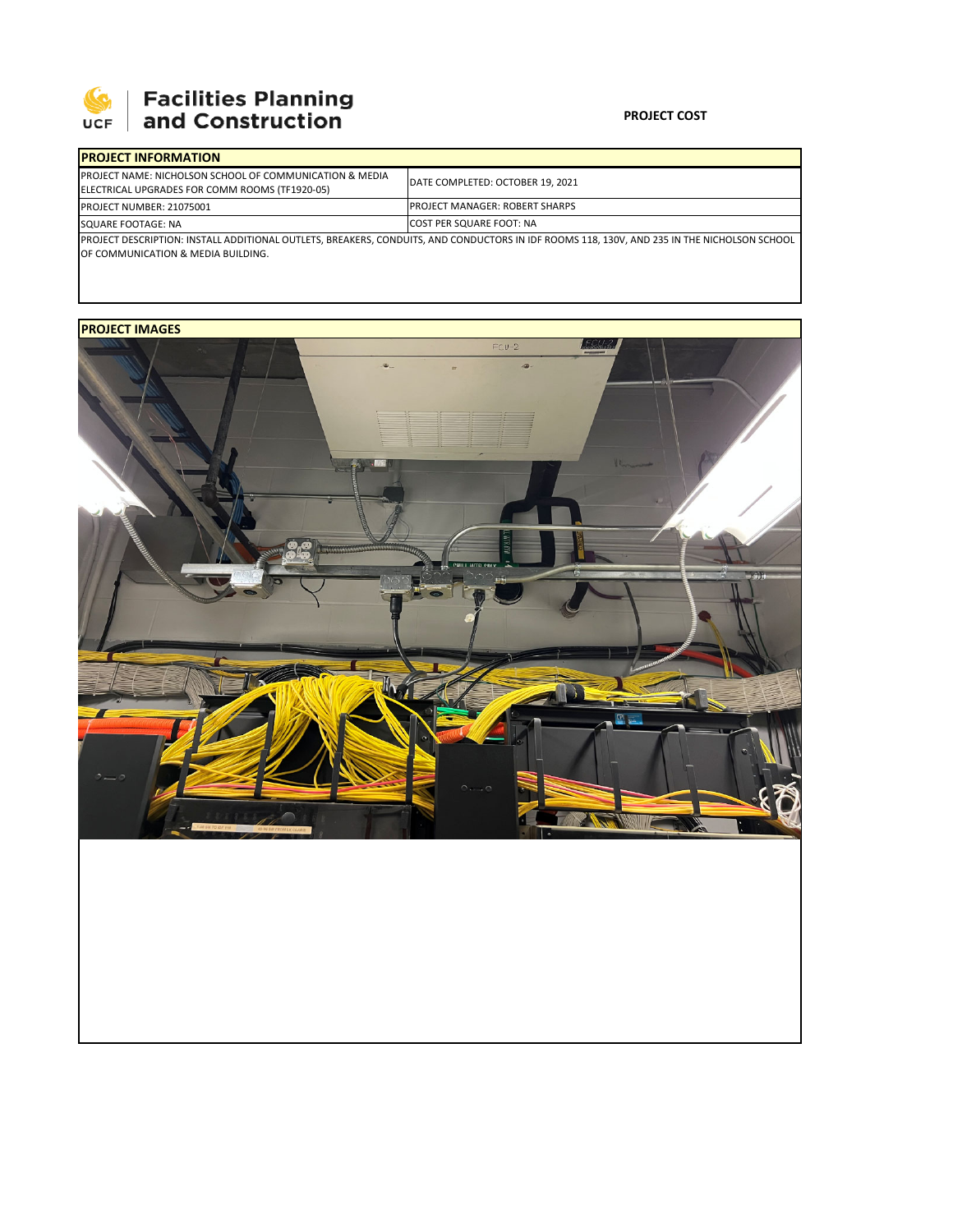

## **Facilities Planning<br>and Construction**

### **PROJECT COST**

| <b>IPROJECT INFORMATION</b>                                                                                                                 |                                        |  |  |
|---------------------------------------------------------------------------------------------------------------------------------------------|----------------------------------------|--|--|
| <b>PROJECT NAME: NICHOLSON SCHOOL OF COMMUNICATION &amp; MEDIA</b><br>ELECTRICAL UPGRADES FOR COMM ROOMS (TF1920-05)                        | DATE COMPLETED: OCTOBER 19, 2021       |  |  |
| <b>PROJECT NUMBER: 21075001</b>                                                                                                             | <b>IPROJECT MANAGER: ROBERT SHARPS</b> |  |  |
| SQUARE FOOTAGE: NA                                                                                                                          | <b>COST PER SQUARE FOOT: NA</b>        |  |  |
| PROJECT DESCRIPTION: INSTALL ADDITIONAL OUTLETS, BREAKERS, CONDUITS, AND CONDUCTORS IN IDF ROOMS 118, 130V, AND 235 IN THE NICHOLSON SCHOOL |                                        |  |  |
| OF COMMUNICATION & MEDIA BUILDING.                                                                                                          |                                        |  |  |

## **PROJECT IMAGES**